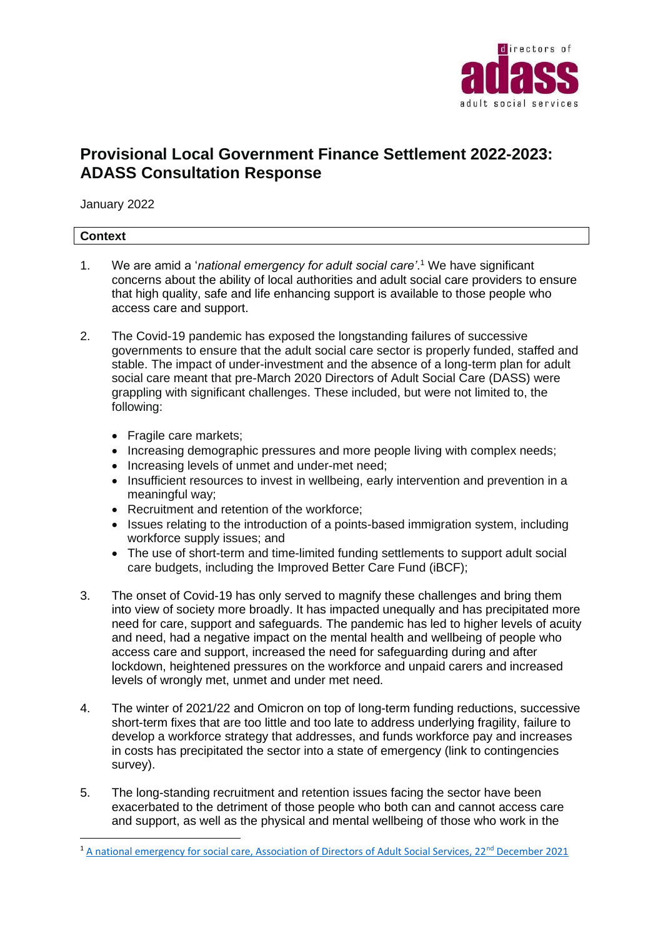

# **Provisional Local Government Finance Settlement 2022-2023: ADASS Consultation Response**

January 2022

## **Context**

- 1. We are amid a '*national emergency for adult social care'*. <sup>1</sup> We have significant concerns about the ability of local authorities and adult social care providers to ensure that high quality, safe and life enhancing support is available to those people who access care and support.
- 2. The Covid-19 pandemic has exposed the longstanding failures of successive governments to ensure that the adult social care sector is properly funded, staffed and stable. The impact of under-investment and the absence of a long-term plan for adult social care meant that pre-March 2020 Directors of Adult Social Care (DASS) were grappling with significant challenges. These included, but were not limited to, the following:
	- Fragile care markets;
	- Increasing demographic pressures and more people living with complex needs;
	- Increasing levels of unmet and under-met need;
	- Insufficient resources to invest in wellbeing, early intervention and prevention in a meaningful way;
	- Recruitment and retention of the workforce;
	- Issues relating to the introduction of a points-based immigration system, including workforce supply issues; and
	- The use of short-term and time-limited funding settlements to support adult social care budgets, including the Improved Better Care Fund (iBCF);
- 3. The onset of Covid-19 has only served to magnify these challenges and bring them into view of society more broadly. It has impacted unequally and has precipitated more need for care, support and safeguards. The pandemic has led to higher levels of acuity and need, had a negative impact on the mental health and wellbeing of people who access care and support, increased the need for safeguarding during and after lockdown, heightened pressures on the workforce and unpaid carers and increased levels of wrongly met, unmet and under met need.
- 4. The winter of 2021/22 and Omicron on top of long-term funding reductions, successive short-term fixes that are too little and too late to address underlying fragility, failure to develop a workforce strategy that addresses, and funds workforce pay and increases in costs has precipitated the sector into a state of emergency (link to contingencies survey).
- 5. The long-standing recruitment and retention issues facing the sector have been exacerbated to the detriment of those people who both can and cannot access care and support, as well as the physical and mental wellbeing of those who work in the

<sup>&</sup>lt;sup>1</sup> [A national emergency for social care, Association of Directors of Adult Social Services, 22](https://www.adass.org.uk/adass-press-release-a-national-emergency-for-social-care)<sup>nd</sup> December 2021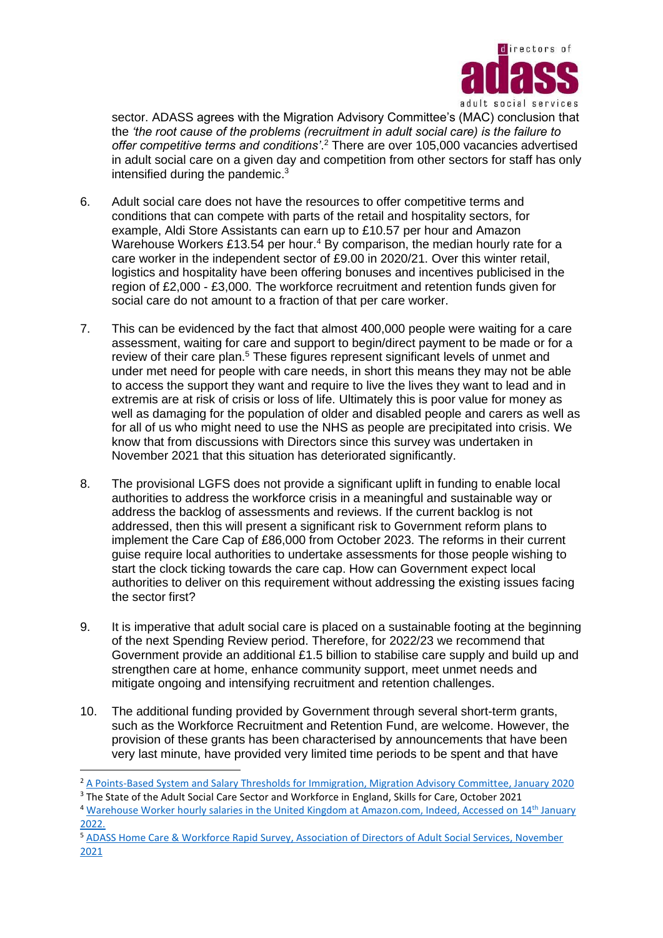

sector. ADASS agrees with the Migration Advisory Committee's (MAC) conclusion that the *'the root cause of the problems (recruitment in adult social care) is the failure to offer competitive terms and conditions'*. <sup>2</sup> There are over 105,000 vacancies advertised in adult social care on a given day and competition from other sectors for staff has only intensified during the pandemic.<sup>3</sup>

- 6. Adult social care does not have the resources to offer competitive terms and conditions that can compete with parts of the retail and hospitality sectors, for example, Aldi Store Assistants can earn up to £10.57 per hour and Amazon Warehouse Workers £13.54 per hour.<sup>4</sup> By comparison, the median hourly rate for a care worker in the independent sector of £9.00 in 2020/21. Over this winter retail, logistics and hospitality have been offering bonuses and incentives publicised in the region of £2,000 - £3,000. The workforce recruitment and retention funds given for social care do not amount to a fraction of that per care worker.
- 7. This can be evidenced by the fact that almost 400,000 people were waiting for a care assessment, waiting for care and support to begin/direct payment to be made or for a review of their care plan.<sup>5</sup> These figures represent significant levels of unmet and under met need for people with care needs, in short this means they may not be able to access the support they want and require to live the lives they want to lead and in extremis are at risk of crisis or loss of life. Ultimately this is poor value for money as well as damaging for the population of older and disabled people and carers as well as for all of us who might need to use the NHS as people are precipitated into crisis. We know that from discussions with Directors since this survey was undertaken in November 2021 that this situation has deteriorated significantly.
- 8. The provisional LGFS does not provide a significant uplift in funding to enable local authorities to address the workforce crisis in a meaningful and sustainable way or address the backlog of assessments and reviews. If the current backlog is not addressed, then this will present a significant risk to Government reform plans to implement the Care Cap of £86,000 from October 2023. The reforms in their current guise require local authorities to undertake assessments for those people wishing to start the clock ticking towards the care cap. How can Government expect local authorities to deliver on this requirement without addressing the existing issues facing the sector first?
- 9. It is imperative that adult social care is placed on a sustainable footing at the beginning of the next Spending Review period. Therefore, for 2022/23 we recommend that Government provide an additional £1.5 billion to stabilise care supply and build up and strengthen care at home, enhance community support, meet unmet needs and mitigate ongoing and intensifying recruitment and retention challenges.
- 10. The additional funding provided by Government through several short-term grants, such as the Workforce Recruitment and Retention Fund, are welcome. However, the provision of these grants has been characterised by announcements that have been very last minute, have provided very limited time periods to be spent and that have

<sup>3</sup> The State of the Adult Social Care Sector and Workforce in England, Skills for Care, October 2021

<sup>&</sup>lt;sup>2</sup> A Points-Based System and Salary Thresholds for Immigration, Migration Advisory Committee, January 2020

<sup>&</sup>lt;sup>4</sup> [Warehouse Worker hourly salaries in the United Kingdom at Amazon.com, Indeed, Accessed on 14](https://uk.indeed.com/cmp/Amazon.com/salaries/Warehouse-Worker)<sup>th</sup> January [2022.](https://uk.indeed.com/cmp/Amazon.com/salaries/Warehouse-Worker)

<sup>5</sup> [ADASS Home Care & Workforce Rapid Survey, Association of Directors of Adult Social Services, November](https://www.adass.org.uk/media/8987/adass-snap-survey-report-november-2021.pdf)  [2021](https://www.adass.org.uk/media/8987/adass-snap-survey-report-november-2021.pdf)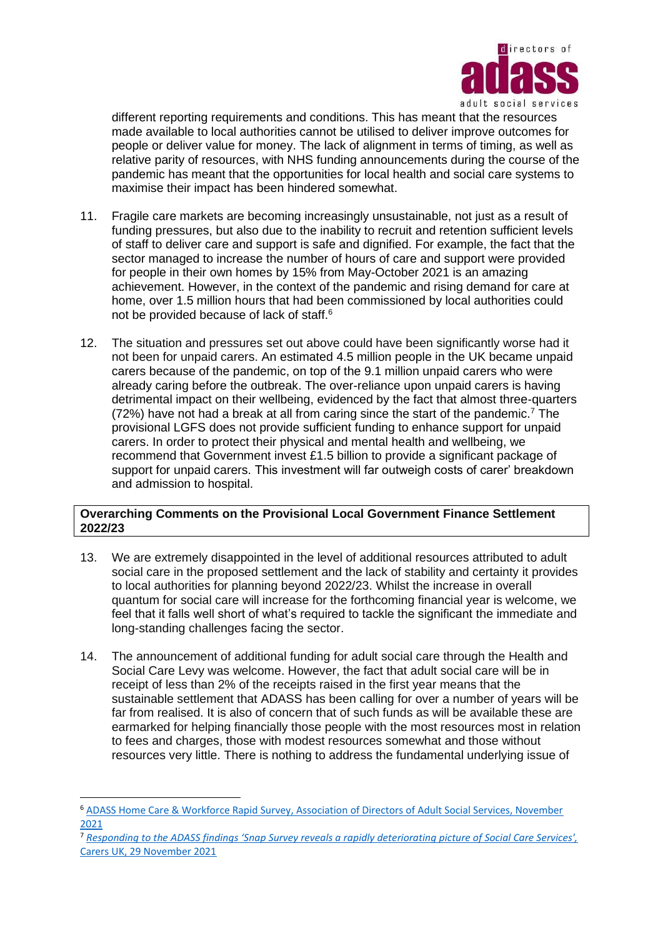

different reporting requirements and conditions. This has meant that the resources made available to local authorities cannot be utilised to deliver improve outcomes for people or deliver value for money. The lack of alignment in terms of timing, as well as relative parity of resources, with NHS funding announcements during the course of the pandemic has meant that the opportunities for local health and social care systems to maximise their impact has been hindered somewhat.

- 11. Fragile care markets are becoming increasingly unsustainable, not just as a result of funding pressures, but also due to the inability to recruit and retention sufficient levels of staff to deliver care and support is safe and dignified. For example, the fact that the sector managed to increase the number of hours of care and support were provided for people in their own homes by 15% from May-October 2021 is an amazing achievement. However, in the context of the pandemic and rising demand for care at home, over 1.5 million hours that had been commissioned by local authorities could not be provided because of lack of staff.<sup>6</sup>
- 12. The situation and pressures set out above could have been significantly worse had it not been for unpaid carers. An estimated 4.5 million people in the UK became unpaid carers because of the pandemic, on top of the 9.1 million unpaid carers who were already caring before the outbreak. The over-reliance upon unpaid carers is having detrimental impact on their wellbeing, evidenced by the fact that almost three-quarters (72%) have not had a break at all from caring since the start of the pandemic.<sup>7</sup> The provisional LGFS does not provide sufficient funding to enhance support for unpaid carers. In order to protect their physical and mental health and wellbeing, we recommend that Government invest £1.5 billion to provide a significant package of support for unpaid carers. This investment will far outweigh costs of carer' breakdown and admission to hospital.

## **Overarching Comments on the Provisional Local Government Finance Settlement 2022/23**

- 13. We are extremely disappointed in the level of additional resources attributed to adult social care in the proposed settlement and the lack of stability and certainty it provides to local authorities for planning beyond 2022/23. Whilst the increase in overall quantum for social care will increase for the forthcoming financial year is welcome, we feel that it falls well short of what's required to tackle the significant the immediate and long-standing challenges facing the sector.
- 14. The announcement of additional funding for adult social care through the Health and Social Care Levy was welcome. However, the fact that adult social care will be in receipt of less than 2% of the receipts raised in the first year means that the sustainable settlement that ADASS has been calling for over a number of years will be far from realised. It is also of concern that of such funds as will be available these are earmarked for helping financially those people with the most resources most in relation to fees and charges, those with modest resources somewhat and those without resources very little. There is nothing to address the fundamental underlying issue of

<sup>6</sup> [ADASS Home Care & Workforce Rapid Survey, Association of Directors of Adult Social Services, November](https://www.adass.org.uk/media/8987/adass-snap-survey-report-november-2021.pdf)  [2021](https://www.adass.org.uk/media/8987/adass-snap-survey-report-november-2021.pdf)

<sup>7</sup> *[Responding to the ADASS findings 'Snap Survey reveals a rapidly deteriorating picture of Social Care Services',](https://www.carersuk.org/news-and-campaigns/press-releases)* [Carers UK, 29 November 2021](https://www.carersuk.org/news-and-campaigns/press-releases)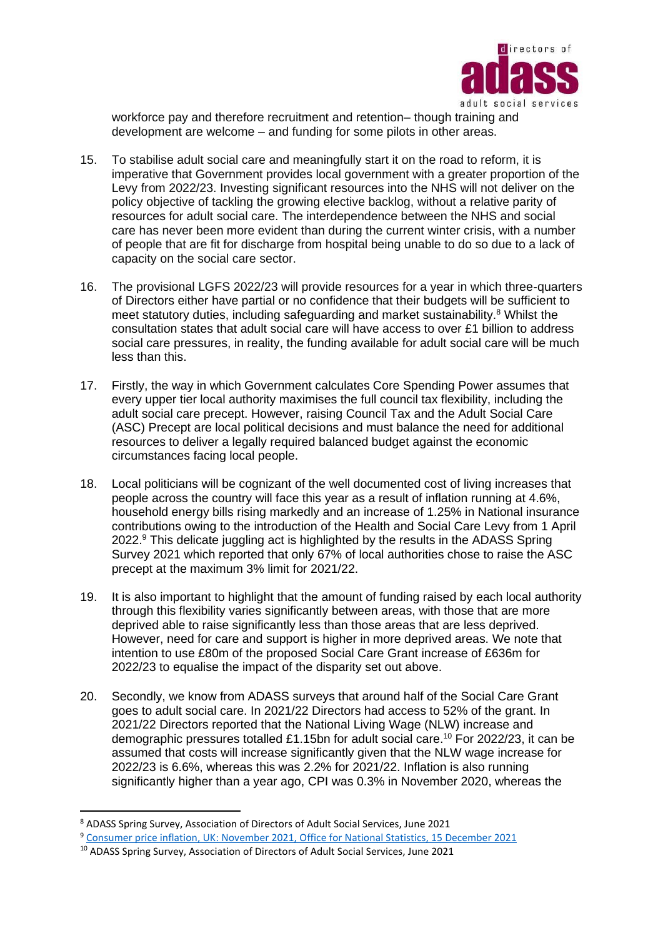

workforce pay and therefore recruitment and retention– though training and development are welcome – and funding for some pilots in other areas.

- 15. To stabilise adult social care and meaningfully start it on the road to reform, it is imperative that Government provides local government with a greater proportion of the Levy from 2022/23. Investing significant resources into the NHS will not deliver on the policy objective of tackling the growing elective backlog, without a relative parity of resources for adult social care. The interdependence between the NHS and social care has never been more evident than during the current winter crisis, with a number of people that are fit for discharge from hospital being unable to do so due to a lack of capacity on the social care sector.
- 16. The provisional LGFS 2022/23 will provide resources for a year in which three-quarters of Directors either have partial or no confidence that their budgets will be sufficient to meet statutory duties, including safeguarding and market sustainability.<sup>8</sup> Whilst the consultation states that adult social care will have access to over £1 billion to address social care pressures, in reality, the funding available for adult social care will be much less than this.
- 17. Firstly, the way in which Government calculates Core Spending Power assumes that every upper tier local authority maximises the full council tax flexibility, including the adult social care precept. However, raising Council Tax and the Adult Social Care (ASC) Precept are local political decisions and must balance the need for additional resources to deliver a legally required balanced budget against the economic circumstances facing local people.
- 18. Local politicians will be cognizant of the well documented cost of living increases that people across the country will face this year as a result of inflation running at 4.6%, household energy bills rising markedly and an increase of 1.25% in National insurance contributions owing to the introduction of the Health and Social Care Levy from 1 April  $2022.9$  This delicate juggling act is highlighted by the results in the ADASS Spring Survey 2021 which reported that only 67% of local authorities chose to raise the ASC precept at the maximum 3% limit for 2021/22.
- 19. It is also important to highlight that the amount of funding raised by each local authority through this flexibility varies significantly between areas, with those that are more deprived able to raise significantly less than those areas that are less deprived. However, need for care and support is higher in more deprived areas. We note that intention to use £80m of the proposed Social Care Grant increase of £636m for 2022/23 to equalise the impact of the disparity set out above.
- 20. Secondly, we know from ADASS surveys that around half of the Social Care Grant goes to adult social care. In 2021/22 Directors had access to 52% of the grant. In 2021/22 Directors reported that the National Living Wage (NLW) increase and demographic pressures totalled £1.15bn for adult social care.<sup>10</sup> For 2022/23, it can be assumed that costs will increase significantly given that the NLW wage increase for 2022/23 is 6.6%, whereas this was 2.2% for 2021/22. Inflation is also running significantly higher than a year ago, CPI was 0.3% in November 2020, whereas the

<sup>8</sup> ADASS Spring Survey, Association of Directors of Adult Social Services, June 2021

<sup>9</sup> Consumer price inflation, UK: November 2021, [Office for National Statistics, 15 December 2021](https://www.ons.gov.uk/economy/inflationandpriceindices/bulletins/consumerpriceinflation/november2021)

<sup>10</sup> ADASS Spring Survey, Association of Directors of Adult Social Services, June 2021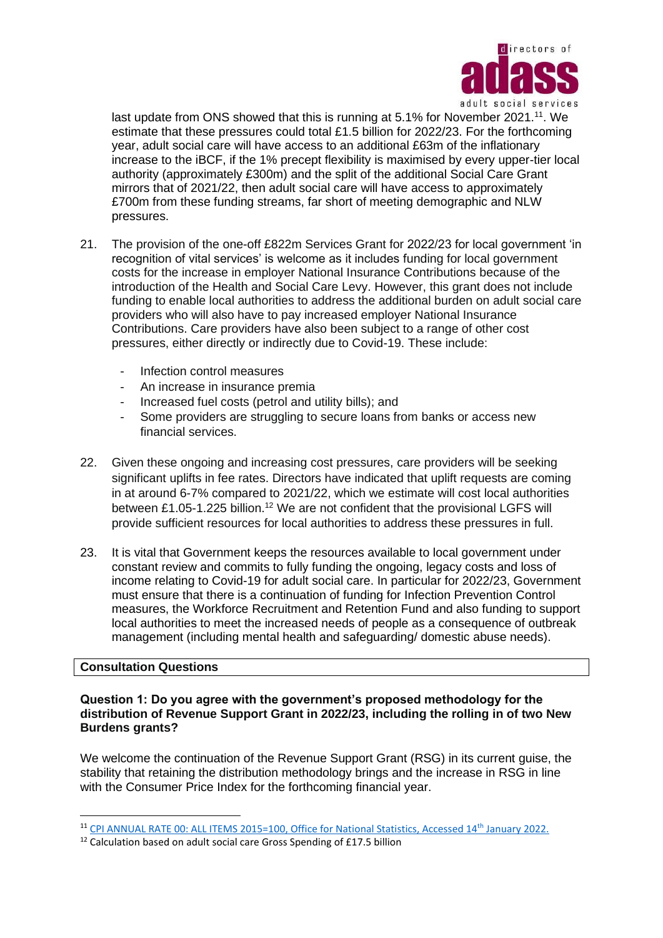

last update from ONS showed that this is running at 5.1% for November 2021.<sup>11</sup>. We estimate that these pressures could total £1.5 billion for 2022/23. For the forthcoming year, adult social care will have access to an additional £63m of the inflationary increase to the iBCF, if the 1% precept flexibility is maximised by every upper-tier local authority (approximately £300m) and the split of the additional Social Care Grant mirrors that of 2021/22, then adult social care will have access to approximately £700m from these funding streams, far short of meeting demographic and NLW pressures.

- 21. The provision of the one-off £822m Services Grant for 2022/23 for local government 'in recognition of vital services' is welcome as it includes funding for local government costs for the increase in employer National Insurance Contributions because of the introduction of the Health and Social Care Levy. However, this grant does not include funding to enable local authorities to address the additional burden on adult social care providers who will also have to pay increased employer National Insurance Contributions. Care providers have also been subject to a range of other cost pressures, either directly or indirectly due to Covid-19. These include:
	- Infection control measures
	- An increase in insurance premia
	- Increased fuel costs (petrol and utility bills); and
	- Some providers are struggling to secure loans from banks or access new financial services.
- 22. Given these ongoing and increasing cost pressures, care providers will be seeking significant uplifts in fee rates. Directors have indicated that uplift requests are coming in at around 6-7% compared to 2021/22, which we estimate will cost local authorities between £1.05-1.225 billion.<sup>12</sup> We are not confident that the provisional LGFS will provide sufficient resources for local authorities to address these pressures in full.
- 23. It is vital that Government keeps the resources available to local government under constant review and commits to fully funding the ongoing, legacy costs and loss of income relating to Covid-19 for adult social care. In particular for 2022/23, Government must ensure that there is a continuation of funding for Infection Prevention Control measures, the Workforce Recruitment and Retention Fund and also funding to support local authorities to meet the increased needs of people as a consequence of outbreak management (including mental health and safeguarding/ domestic abuse needs).

#### **Consultation Questions**

#### **Question 1: Do you agree with the government's proposed methodology for the distribution of Revenue Support Grant in 2022/23, including the rolling in of two New Burdens grants?**

We welcome the continuation of the Revenue Support Grant (RSG) in its current guise, the stability that retaining the distribution methodology brings and the increase in RSG in line with the Consumer Price Index for the forthcoming financial year.

<sup>11</sup> [CPI ANNUAL RATE 00: ALL ITEMS 2015=100, Office for National Statistics, Accessed 14](https://www.ons.gov.uk/economy/inflationandpriceindices/timeseries/d7g7/mm23)th January 2022.

<sup>&</sup>lt;sup>12</sup> Calculation based on adult social care Gross Spending of £17.5 billion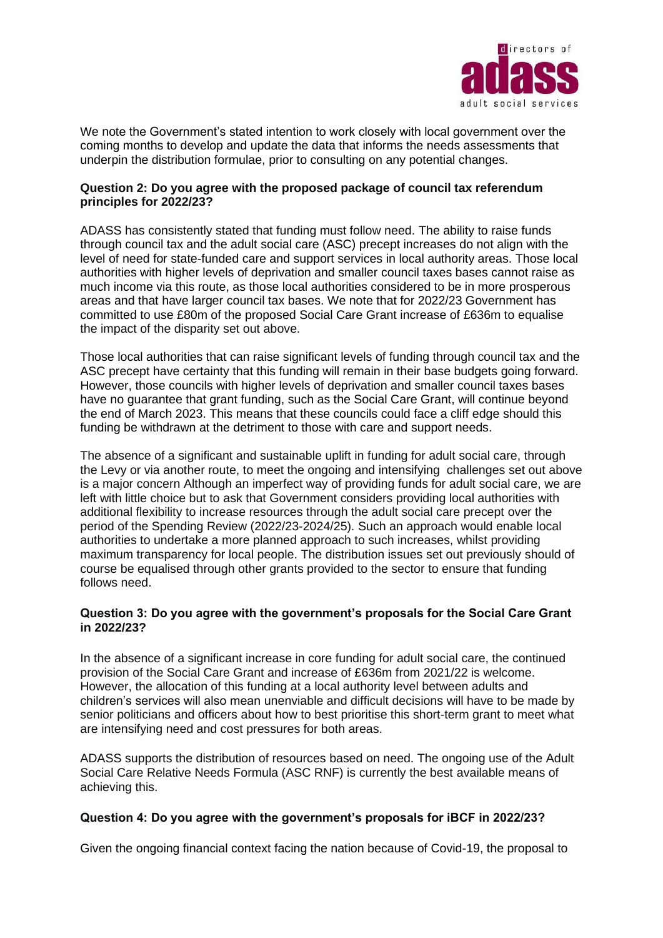

We note the Government's stated intention to work closely with local government over the coming months to develop and update the data that informs the needs assessments that underpin the distribution formulae, prior to consulting on any potential changes.

## **Question 2: Do you agree with the proposed package of council tax referendum principles for 2022/23?**

ADASS has consistently stated that funding must follow need. The ability to raise funds through council tax and the adult social care (ASC) precept increases do not align with the level of need for state-funded care and support services in local authority areas. Those local authorities with higher levels of deprivation and smaller council taxes bases cannot raise as much income via this route, as those local authorities considered to be in more prosperous areas and that have larger council tax bases. We note that for 2022/23 Government has committed to use £80m of the proposed Social Care Grant increase of £636m to equalise the impact of the disparity set out above.

Those local authorities that can raise significant levels of funding through council tax and the ASC precept have certainty that this funding will remain in their base budgets going forward. However, those councils with higher levels of deprivation and smaller council taxes bases have no guarantee that grant funding, such as the Social Care Grant, will continue beyond the end of March 2023. This means that these councils could face a cliff edge should this funding be withdrawn at the detriment to those with care and support needs.

The absence of a significant and sustainable uplift in funding for adult social care, through the Levy or via another route, to meet the ongoing and intensifying challenges set out above is a major concern Although an imperfect way of providing funds for adult social care, we are left with little choice but to ask that Government considers providing local authorities with additional flexibility to increase resources through the adult social care precept over the period of the Spending Review (2022/23-2024/25). Such an approach would enable local authorities to undertake a more planned approach to such increases, whilst providing maximum transparency for local people. The distribution issues set out previously should of course be equalised through other grants provided to the sector to ensure that funding follows need.

## **Question 3: Do you agree with the government's proposals for the Social Care Grant in 2022/23?**

In the absence of a significant increase in core funding for adult social care, the continued provision of the Social Care Grant and increase of £636m from 2021/22 is welcome. However, the allocation of this funding at a local authority level between adults and children's services will also mean unenviable and difficult decisions will have to be made by senior politicians and officers about how to best prioritise this short-term grant to meet what are intensifying need and cost pressures for both areas.

ADASS supports the distribution of resources based on need. The ongoing use of the Adult Social Care Relative Needs Formula (ASC RNF) is currently the best available means of achieving this.

## **Question 4: Do you agree with the government's proposals for iBCF in 2022/23?**

Given the ongoing financial context facing the nation because of Covid-19, the proposal to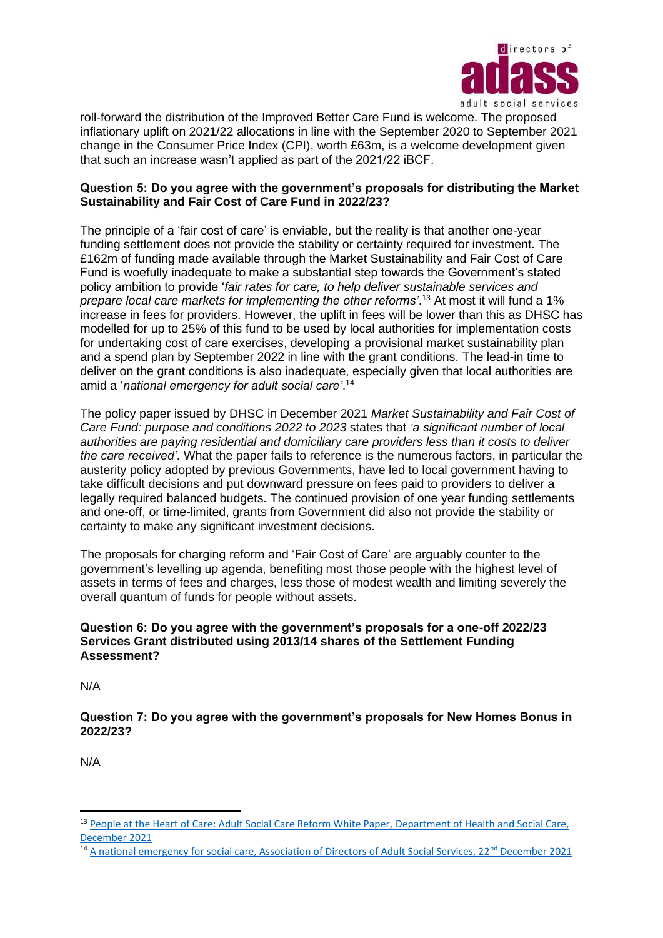

roll-forward the distribution of the Improved Better Care Fund is welcome. The proposed inflationary uplift on 2021/22 allocations in line with the September 2020 to September 2021 change in the Consumer Price Index (CPI), worth £63m, is a welcome development given that such an increase wasn't applied as part of the 2021/22 iBCF.

## **Question 5: Do you agree with the government's proposals for distributing the Market Sustainability and Fair Cost of Care Fund in 2022/23?**

The principle of a 'fair cost of care' is enviable, but the reality is that another one-year funding settlement does not provide the stability or certainty required for investment. The £162m of funding made available through the Market Sustainability and Fair Cost of Care Fund is woefully inadequate to make a substantial step towards the Government's stated policy ambition to provide '*fair rates for care, to help deliver sustainable services and prepare local care markets for implementing the other reforms'*. <sup>13</sup> At most it will fund a 1% increase in fees for providers. However, the uplift in fees will be lower than this as DHSC has modelled for up to 25% of this fund to be used by local authorities for implementation costs for undertaking cost of care exercises, developing a provisional market sustainability plan and a spend plan by September 2022 in line with the grant conditions. The lead-in time to deliver on the grant conditions is also inadequate, especially given that local authorities are amid a '*national emergency for adult social care'*. 14

The policy paper issued by DHSC in December 2021 *Market Sustainability and Fair Cost of Care Fund: purpose and conditions 2022 to 2023* states that *'a significant number of local authorities are paying residential and domiciliary care providers less than it costs to deliver the care received'.* What the paper fails to reference is the numerous factors, in particular the austerity policy adopted by previous Governments, have led to local government having to take difficult decisions and put downward pressure on fees paid to providers to deliver a legally required balanced budgets. The continued provision of one year funding settlements and one-off, or time-limited, grants from Government did also not provide the stability or certainty to make any significant investment decisions.

The proposals for charging reform and 'Fair Cost of Care' are arguably counter to the government's levelling up agenda, benefiting most those people with the highest level of assets in terms of fees and charges, less those of modest wealth and limiting severely the overall quantum of funds for people without assets.

## **Question 6: Do you agree with the government's proposals for a one-off 2022/23 Services Grant distributed using 2013/14 shares of the Settlement Funding Assessment?**

N/A

## **Question 7: Do you agree with the government's proposals for New Homes Bonus in 2022/23?**

N/A

<sup>&</sup>lt;sup>13</sup> [People at the Heart of Care: Adult Social Care Reform White Paper,](https://assets.publishing.service.gov.uk/government/uploads/system/uploads/attachment_data/file/1037594/people-at-the-heart-of-care_asc-form-accessible.pdf) Department of Health and Social Care, [December 2021](https://assets.publishing.service.gov.uk/government/uploads/system/uploads/attachment_data/file/1037594/people-at-the-heart-of-care_asc-form-accessible.pdf)

<sup>&</sup>lt;sup>14</sup> [A national emergency for social care, Association of Directors of Adult Social Services, 22](https://www.adass.org.uk/adass-press-release-a-national-emergency-for-social-care)<sup>nd</sup> December 2021